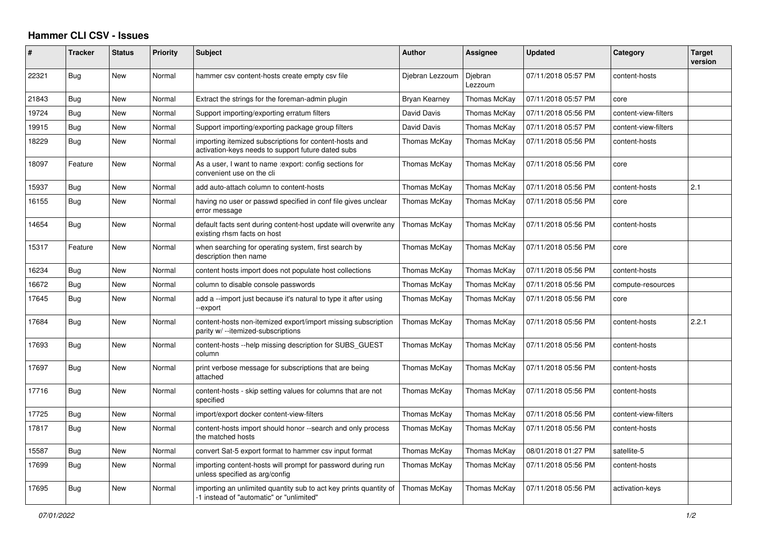## **Hammer CLI CSV - Issues**

| $\vert$ # | <b>Tracker</b> | <b>Status</b> | <b>Priority</b> | <b>Subject</b>                                                                                                | <b>Author</b>   | <b>Assignee</b>    | <b>Updated</b>      | Category             | <b>Target</b><br>version |
|-----------|----------------|---------------|-----------------|---------------------------------------------------------------------------------------------------------------|-----------------|--------------------|---------------------|----------------------|--------------------------|
| 22321     | Bug            | New           | Normal          | hammer csy content-hosts create empty csy file                                                                | Djebran Lezzoum | Djebran<br>Lezzoum | 07/11/2018 05:57 PM | content-hosts        |                          |
| 21843     | Bug            | New           | Normal          | Extract the strings for the foreman-admin plugin                                                              | Bryan Kearney   | Thomas McKay       | 07/11/2018 05:57 PM | core                 |                          |
| 19724     | Bug            | New           | Normal          | Support importing/exporting erratum filters                                                                   | David Davis     | Thomas McKay       | 07/11/2018 05:56 PM | content-view-filters |                          |
| 19915     | Bug            | <b>New</b>    | Normal          | Support importing/exporting package group filters                                                             | David Davis     | Thomas McKay       | 07/11/2018 05:57 PM | content-view-filters |                          |
| 18229     | Bug            | New           | Normal          | importing itemized subscriptions for content-hosts and<br>activation-keys needs to support future dated subs  | Thomas McKay    | Thomas McKay       | 07/11/2018 05:56 PM | content-hosts        |                          |
| 18097     | Feature        | New           | Normal          | As a user, I want to name : export: config sections for<br>convenient use on the cli                          | Thomas McKay    | Thomas McKay       | 07/11/2018 05:56 PM | core                 |                          |
| 15937     | <b>Bug</b>     | New           | Normal          | add auto-attach column to content-hosts                                                                       | Thomas McKay    | Thomas McKay       | 07/11/2018 05:56 PM | content-hosts        | 2.1                      |
| 16155     | Bug            | New           | Normal          | having no user or passwd specified in conf file gives unclear<br>error message                                | Thomas McKay    | Thomas McKay       | 07/11/2018 05:56 PM | core                 |                          |
| 14654     | Bug            | New           | Normal          | default facts sent during content-host update will overwrite any<br>existing rhsm facts on host               | Thomas McKay    | Thomas McKay       | 07/11/2018 05:56 PM | content-hosts        |                          |
| 15317     | Feature        | New           | Normal          | when searching for operating system, first search by<br>description then name                                 | Thomas McKay    | Thomas McKay       | 07/11/2018 05:56 PM | core                 |                          |
| 16234     | Bug            | New           | Normal          | content hosts import does not populate host collections                                                       | Thomas McKay    | Thomas McKay       | 07/11/2018 05:56 PM | content-hosts        |                          |
| 16672     | Bug            | New           | Normal          | column to disable console passwords                                                                           | Thomas McKay    | Thomas McKay       | 07/11/2018 05:56 PM | compute-resources    |                          |
| 17645     | Bug            | <b>New</b>    | Normal          | add a --import just because it's natural to type it after using<br>-export                                    | Thomas McKay    | Thomas McKay       | 07/11/2018 05:56 PM | core                 |                          |
| 17684     | Bug            | New           | Normal          | content-hosts non-itemized export/import missing subscription<br>parity w/ --itemized-subscriptions           | Thomas McKay    | Thomas McKay       | 07/11/2018 05:56 PM | content-hosts        | 2.2.1                    |
| 17693     | Bug            | New           | Normal          | content-hosts --help missing description for SUBS GUEST<br>column                                             | Thomas McKay    | Thomas McKay       | 07/11/2018 05:56 PM | content-hosts        |                          |
| 17697     | Bug            | New           | Normal          | print verbose message for subscriptions that are being<br>attached                                            | Thomas McKay    | Thomas McKay       | 07/11/2018 05:56 PM | content-hosts        |                          |
| 17716     | Bug            | New           | Normal          | content-hosts - skip setting values for columns that are not<br>specified                                     | Thomas McKay    | Thomas McKay       | 07/11/2018 05:56 PM | content-hosts        |                          |
| 17725     | <b>Bug</b>     | New           | Normal          | import/export docker content-view-filters                                                                     | Thomas McKay    | Thomas McKay       | 07/11/2018 05:56 PM | content-view-filters |                          |
| 17817     | Bug            | New           | Normal          | content-hosts import should honor --search and only process<br>the matched hosts                              | Thomas McKay    | Thomas McKay       | 07/11/2018 05:56 PM | content-hosts        |                          |
| 15587     | Bug            | New           | Normal          | convert Sat-5 export format to hammer csv input format                                                        | Thomas McKay    | Thomas McKay       | 08/01/2018 01:27 PM | satellite-5          |                          |
| 17699     | Bug            | New           | Normal          | importing content-hosts will prompt for password during run<br>unless specified as arg/config                 | Thomas McKay    | Thomas McKay       | 07/11/2018 05:56 PM | content-hosts        |                          |
| 17695     | Bug            | New           | Normal          | importing an unlimited quantity sub to act key prints quantity of<br>-1 instead of "automatic" or "unlimited" | Thomas McKay    | Thomas McKay       | 07/11/2018 05:56 PM | activation-keys      |                          |